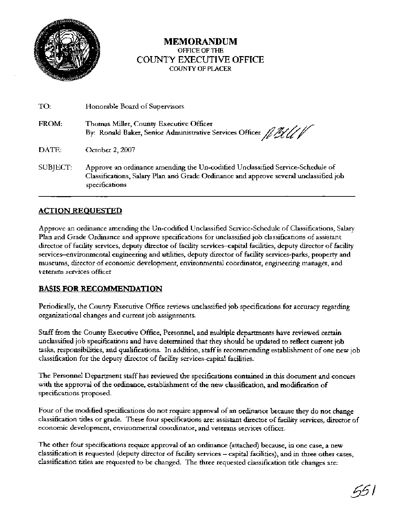

### **MEMORANDUM OFFICE OF THE**  COUNTY EXECUTIVE OFFICE **COUNTY OF PLACER**

| TO:      | Honorable Board of Supervisors                                                                                                                                                            |
|----------|-------------------------------------------------------------------------------------------------------------------------------------------------------------------------------------------|
| FROM:    | Thomas Miller, County Executive Officer<br>By: Ronald Baker, Senior Administrative Services Officer ////                                                                                  |
| DATE:    | October 2, 2007                                                                                                                                                                           |
| SUBJECT: | Approve an ordinance amending the Un-codified Unclassified Service-Schedule of<br>Classifications, Salary Plan and Grade Ordinance and approve several unclassified job<br>specifications |

## **ACTION REOUESTED**

Approve an ordinance amending the Un-codified Unclassified Service-Schedule of Classifications, Salary Plan and Grade Ordinance and approve specifications for unclassified job classifications of assistant director of facility services, deputy director of facility services-capital facilities, deputy director of facility services-environmental engineering and utilities, deputy director of facility services-parks, property and museums, director of economic development, environmental coordinator, engineering manager, and veterans services officer

#### **BASIS FOR RECOMMENDATION**

Periodically, the County Executive Office reviews unclassified job specifications for accuracy regarding organizational changes and current job assignments.

Staff from the County Executive Office, Personnel, and multiple departments have reviewed certain unclassified job specifications and have determined that they should be updated to reflect current job tasks, responsibilities, and qualifications. In addition, staff is recommending establishment of one new job classification for the deputy director of facility services-capital facilities..

The Personnel Department staff has reviewed the specifications contained in this document and concurs with the approval of the ordinance, establishment of the new classification, and modification of specifications proposed.

Four of the modified specifications do not require approval of an ordinance because they do not change classification titles or grade. These four specifications are: assistant director of facility services, director of economic development, environmental coordinator, and veterans services officer.

The other four specifications require approval of an ordinance (attached) because, in one case, a new classification is requested (deputy director of facility services - capital facilities), and in three other cases, classification titles are requested to be changed. The three requested classification title changes are:

551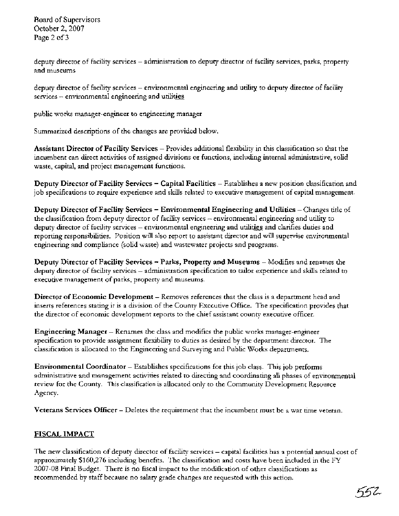Board of Supervisors October 2,2007 Page 2 of **3** 

deputy director of facility services – administration to deputy director of facility services, parks, property and museums

deputy director of facility services - environmental engineering and utility to deputy director of facility  $s$ ervices  $-$  environmental engineering and utilities

public works manager-engineer to engmeering manager

Summarized descriptions of the changes are provided below.

**Assistant Director of Facility Services** - Provides additional flexibility in this classification so that the incumbent can direct activities of assigned divisions or functions, including internal administrative, solid waste, capital, and project management functions.

**Deputy Director of Facility Services** - **Capital Facilities** - Establishes a new position classification and job specifications to require experience and skills related to executive management of capital management.

**Deputy Director of Facility Services** - **Environmental Engineering and Utilities** - Changes title of the classification from deputy director of facility services - environmental engineering and utility to deputy director of facility services - environmental engineering and utilities and clarifies duties and reporting responsibilities. Position will also report to assistant director and will supervise environmental engmeering and compliance (solid waste) and wastewater projects and programs.

**Deputy Director of Facility Services – Parks, Property and Museums – Modifies and renames the** deputy director of facility services - administration specification to tailor experience and skills related to executive management of parks, property and museums.

**Director of Economic Development** - Removes references that the class is a department head and inserts references stating it is a division of the County Executive Office. The specification provides that the director of economic development reports to the chief assistant county executive officer.

**Engineering Manager** – Renames the class and modifies the public works manager-engineer specification to provide assignment flexibility to duties as desired by the department director. The classification is allocated to the Engineering and Surveying and Public Works departments.

**Environmental Coordinator** - Establishes specifications for this job class. This job performs administrative and management activities related to directing and coordinating all phases of environmental review for the County. This classification is allocated only to the Community Development Resource Agency.

**Veterans Services Officer** - Deletes the requirement that the incumbent must be a war time veteran.

## **FISCAL IMPACT**

The new classification of deputy director of facility services - capital facilities has a potential annual cost of approximately \$160,276 includmg benefits. The classification and costs have been included in the FY 2007-08 Final Budget. There is no fiscal impact to the modification of other classifications as recommended by staff because no salary grade changes are requested with this action.

552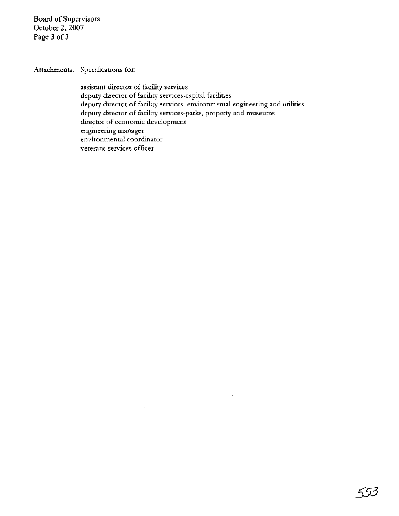Board of Supervisors October 2,2007 Page 3 of 3

Attachments: Specifications for:

assistant duector of facility services deputy director of facility services-capital facilities deputy director of facility services-environmental engineering and utilities deputy director of facibty services-parks, property and museums director of economic development engineering manager environmental coordinator  $\ddot{\phantom{a}}$ veterans services officer

i,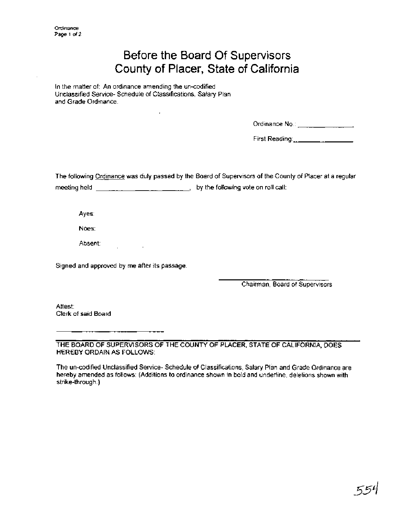# Before the Board Of Supervisors County of Placer, State of California

In the matter of: An ordinance amending the un-codified Unclassified Service- Schedule of Classifications, Salary Plan and Grade Ordinance.

J.

| Ordinance No∴ |  |
|---------------|--|
|---------------|--|

First Reading:

The following Ordinance was duly passed by the Board of Supervisors of the County of Placer at a regular meeting held , by the following vote on roll call:

Ayes:

Noes:

Absent:

Signed and approved by me after its passage.

 $\sim 10^{11}$  m  $^{-1}$ 

Chairman, Board of Supervisors

Attest: Clerk of said Board

THE BOARD OF SUPERVISORS OF THE COUNTY OF PLACER, STATE OF CALIFORNIA, DOES HEREBY ORDAIN AS FOLLOWS:

The un-codified Unclassified Service- Schedule of Classifications, Salary Plan and Grade Ordinance are hereby amended as follows: (Additions to ordinance shown in bold and underline, deletions shown with strike-through.)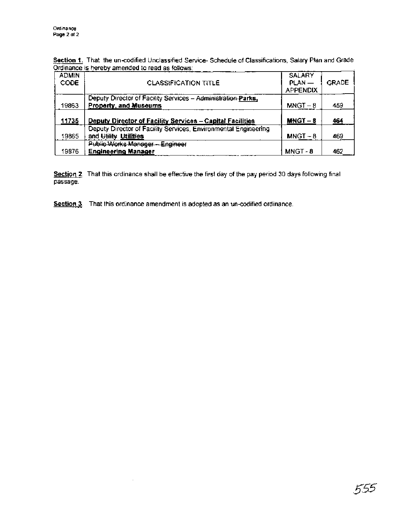Section 1. That the un-codified Unclassified Service- Schedule of Classifications, Salary Plan and Grade Ordinance is hereby amended to read as follows:

|                             | Ordinance is hereby amended to read as follows:                                          |                                              |              |
|-----------------------------|------------------------------------------------------------------------------------------|----------------------------------------------|--------------|
| <b>ADMIN</b><br><b>CODE</b> | <b>CLASSIFICATION TITLE</b>                                                              | <b>SALARY</b><br>$PLAN -$<br><b>APPENDIX</b> | <b>GRADE</b> |
| 19863                       | Deputy Director of Facility Services - Administration Parks,<br>Property, and Museums    | $MNGT - 8$                                   | 459          |
| 11735                       | Deputy Director of Facility Services - Capital Facilities                                | $MNGT - 8$                                   | 464          |
| 19865                       | Deputy Director of Facility Services, Environmental Engineering<br>and Utility Utilities | $MNGT - 8$                                   | 469          |
| 19876                       | Public Works Manager - Engineer<br><b>Engineering Manager</b>                            | MNGT-8                                       | 462          |

**Section 2.** That this ordinance shall be effective the first day of the pay period 30 days following final passage.

**Section 3.** That this ordinance amendment is adopted as an un-codified ordinance.

 $\cdot$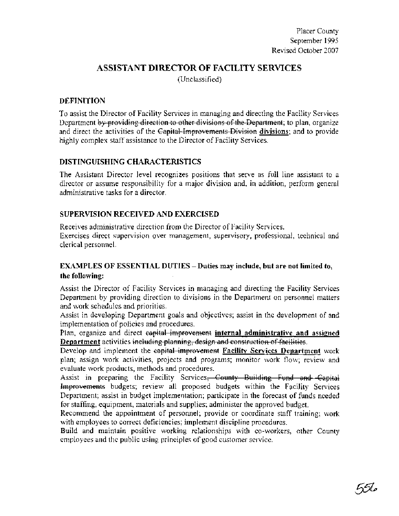## **ASSISTANT DIRECTOR OF FACILITY SERVICES**

(Unclassified)

#### **DEFINITION**

Placer County<br>
September 1995<br>
Revised October 2007<br>
ASSISTANT DIRECTOR OF FACILITY SERVICES<br>
(Unclassified)<br>
DEFINITION<br>
To assist the Director of Facility Services in managing and directing the Facility Services<br>
Departm highly complex staff assistance to the Director of Facility Services.

## **DISTINGUISHING CHARACTERISTICS**

The Assistant Director level recognizes positions that serve as full line assistant to a director or assume responsibility for a major division and, in addition, perform general administrative tasks for a director.

## **SUPERVISION RECEIVED AND EXERCISED**

Receives administrative direction from the Director of Facility Services. Exercises direct supervision over management, supervisory, professional, technical and clerical personnel.

## **EXAMPLES OF ESSENTIAL DUTIES** - **Duties may include, but are not limited to, the following:**

Assist the Director of Facility Services in managing and directing the Facility Services Department by providing direction to divisions in the Department on personnel matters and work schedules and priorities.

Assist in developing Department goals and objectives; assist in the development of and implementation of policies and procedures.

**Department** activities including planning, design and construction of facilities.<br>Develop and implement the capital improvement Facility Services Department work

plan; assign work activities, projects and programs; monitor work flow; review and

**EXERCISTANT DIRECTOR OF FACILITY SERVICES**<br> **Revised Outder 3001**<br> **Revised Outder 3001**<br> **CONSISSION:** (Unstanding in direction profession profession and a<br> **CONSISTANT DIRECTOR OF FACILITY SERVICES**<br> **DEPARTMENT CHARGE** evaluate work products, methods and procedures.<br>Assist in preparing the Facility Services, County Building Fund and Capital Improvements budgets; review all proposed budgets within the Facility Services Department; assist in budget implementation; participate in the forecast of funds needed for staffing, equipment, materials and supplies; administer the approved budget.

Recommend the appointment of personnel; provide or coordinate staff training; work with employees to correct deficiencies; implement discipline procedures.

Build and maintain positive working relationships with co-workers, other County employees and the public using principles of good customer service.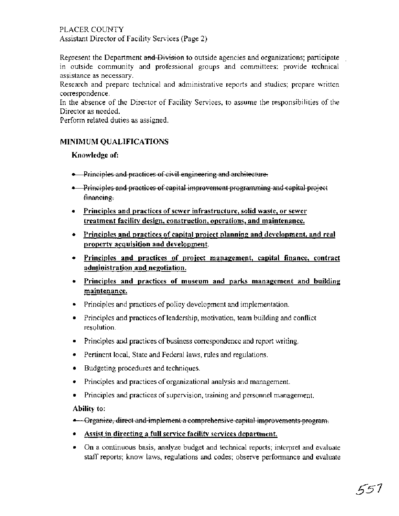#### PLACER COUNTY Assistant Director of Facility Services (Page 2)

Represent the Department and Division to outside agencies and organizations; participate in outside community and professional groups and committees; provide technical assistance as necessary.

Research and prepare technical and administrative reports and studies; prepare written correspondence.

In the absence of the Director of Facility Services, to assume the responsibilities of the Director as needed.

Perform related duties as assigned.

#### **MINIMUM QUALIFICATIONS**

#### Knowledge of:

- Principles and practices of civil engineering and architecture.
- Principles and practices of capital improvement programming and capital project financing.
- **Principles and practices of sewer infrastructure, solid waste, or sewer** treatment facility design, construction, operations, and maintenance.
- Principles and practices of capital proiect planning and development, and real property acquisition and development.
- Principles and practices of proiect management, capital finance, contract administration and negotiation.
- Principles and practices of museum and parks management and building maintenance.
- Principles and practices of policy development and implementation.
- Principles and practices of leadership, motivation, team building and conflict resolution.
- Principles and practices of business correspondence and report writing.
- Pertinent local, State and Federal laws, rules and regulations.
- **Budgeting procedures and techniques.**
- Principles and practices of organizational analysis and management.  $\bullet$
- Principles and practices of supervision, training and personnel management.  $\bullet$

#### Ability to:

- **-** Organize, direct and implement a comprehensive capital improvements program.
- Assist in directing a full service facility services department.
- On a continuous basis, analyze budget and technical reports; interpret and evaluate staff reports; know laws, regulations and codes; observe performance and evaluate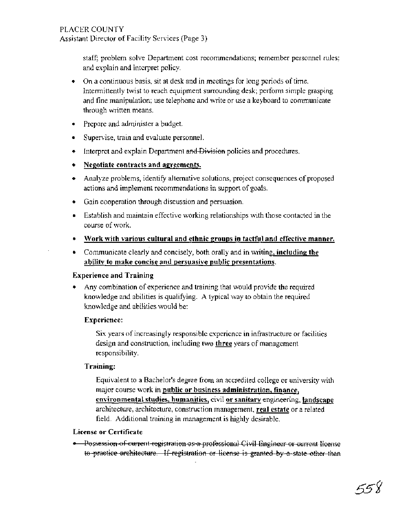staff; problem solve Department cost recommendations; remember personnel rules; and explain and interpret policy.

- On a continuous basis, sit at desk and in meetings for long periods of time. Intermittently twist to reach equipment surrounding desk; perform simple grasping and fine manipulation; use telephone and write or use a keyboard to communicate through written means.
- Prepare and administer a budget.
- Supervise, train and evaluate personnel.
- **.** Interpret and explain Department and Division policies and procedures.
- **Negotiate contracts and agreements.**
- Analyze problems, identify alternative solutions, project consequences of proposed actions and implement recommendations in support of goals.
- Gain cooperation through discussion and persuasion.
- Establish and maintain effective working relationships with those contacted in the course of work.
- **Work with various cultural and ethnic groups in tactful and effective manner.**
- **•** Communicate clearly and concisely, both orally and in writing, **including the ability to make concise and persuasive public presentations.**

#### **Experience and Training**

Any combination of experience and training that would provide the required knowledge and abilities is qualifying. A typical way to obtain the required knowledge and abilities would be:

#### **Experience:**

Six years of increasingly responsible experience in infrastructure or facilities design and construction, including two three years of management responsibility.

#### **Training:**

Equivalent to a Bachelor's degree from an accredited college or university with major course work in **public or business administration, finance, environmental studies, humanities,** civil **or sanitary** engineering, **landscape**  architecture, architecture, construction management, **real estate** or a related field. Additional training in management is highly desirable.

#### **License or Certificate**

• Possession of current registration as a professional Civil Engineer or current license to practice architecture. If registration or license is granted by a state other than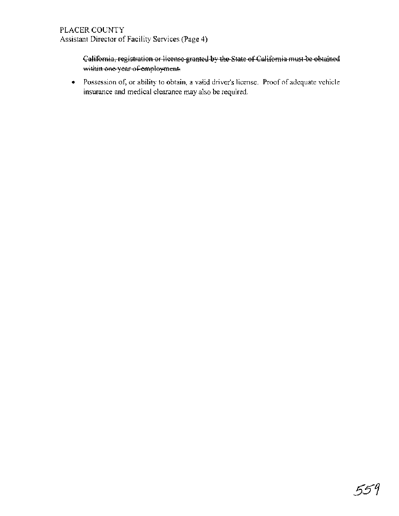## California, registration or license-granted by the State of California must be obtained within one year of employment.

Possession of, or ability to obtain, a valid driver's license. Proof of adequate vehicle insurance and medical clearance may also be required.

559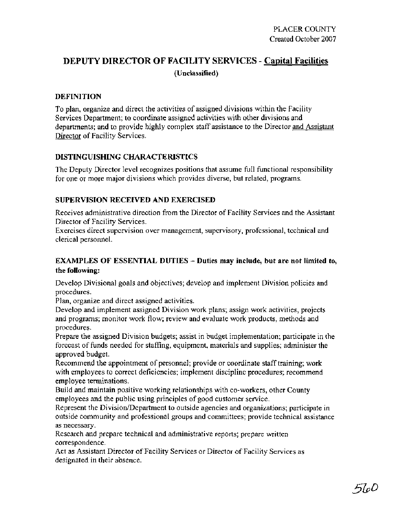# **DEPUTY DIRECTOR OF FACILITY SERVICES** - **Capital Facilities (Unclassified)**

#### **DEFINITION**

To plan, organize and direct the activities of assigned divisions within the Facility Services Department; to coordinate assigned activities with other divisions and departments; and to provide highly complex staff assistance to the Director and Assistant Director of Facility Services.

#### **DISTINGUISHING CHARACTERISTICS**

The Deputy Director level recognizes positions that assume full functional responsibility for one or more major divisions which provides diverse, but related, programs.

## **SUPERVISION RECEIVED AND EXERCISED**

Receives administrative direction from the Director of Facility Services and the Assistant Director of Facility Services.

Exercises direct supervision over management, supervisory, professional, technical and clerical personnel.

## **EXAMPLES OF ESSENTIAL DUTIES** - **Duties may include, but are not limited to, the following:**

Develop Divisional goals and objectives; develop and implement Division policies and procedures.

Plan, organize and direct assigned activities.

Develop and implement assigned Division work plans; assign work activities, projects and programs; monitor work flow; review and evaluate work products, methods and procedures.

Prepare the assigned Division budgets; assist in budget implementation; participate in the forecast of funds needed for staffing, equipment, materials and supplies; administer the approved budget.

Recommend the appointment of personnel; provide or coordinate staff training; work with employees to correct deficiencies; implement discipline procedures; recommend employee terminations.

Build and maintain positive working relationships with co-workers, other County employees and the public using principles of good customer service.

Represent the Division/Department to outside agencies and organizations; participate in outside community and professional groups and committees; provide technical assistance as necessary.

Research and prepare technical and administrative reports; prepare written correspondence.

Act as Assistant Director of Facility Services or Director of Facility Services as designated in their absence.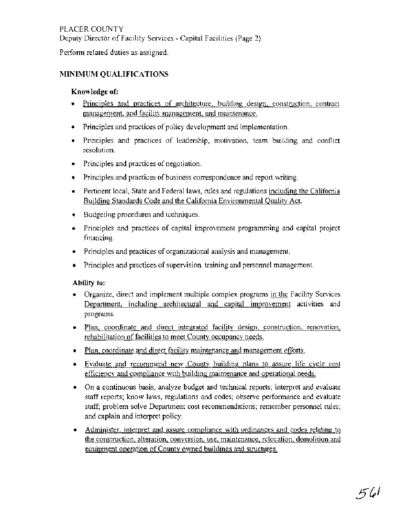## PLACER COUNTY Deputy Director of Facility Services - Capital Facilities (Page 2)

Perform related duties as assigned.

## **MINIMUM QUALIFICATIONS**

#### **Knowledge of:**

- Principles and practices of architecture, building design, construction, contract management. and facility management, and maintenance.
- Principles and practices of policy development and implementation.
- Principles and practices of leadership, motivation, team building and conflict resolution.
- Principles and practices of negotiation.
- Principles and practices of business correspondence and report writing.
- Pertinent local, State and Federal laws, rules and regulations including the California Building Standards Code and the California Environmental Ouality Act.
- Budgeting procedures and techniques.  $\bullet$
- Principles and practices of capital improvement programming and capital project financing.
- Principles and practices of organizational analysis and management.
- Principles and practices of supervision, training and personnel management.

## **Ability to:**

- Organize, direct and implement multiple complex programs in the Facility Services Department, including architectural and capital improvement activities and programs.
- Plan, coordinate and direct integrated facility design, construction, renovation, rehabilitation of facilities to meet County occupancy needs.
- Plan, coordinate and direct facility maintenance and management efforts.
- Evaluate and recommend new County building plans to assure life cycle cost efficiency and compliance with building maintenance and operational needs.
- On a continuous basis, analyze budget and technical reports; interpret and evaluate staff reports; know laws, regulations and codes; observe performance and evaluate staff; problem solve Department cost recommendations; remember personnel rules; and explain and interpret policy.
- Administer, interpret and assure compliance with ordinances and codes relating to the construction, alteration, conversion, use, maintenance, relocation, demolition and equipment operation of County owned buildings and structures.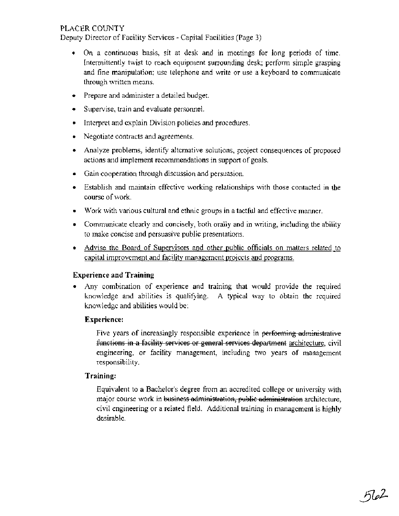Deputy Director of Facility Services - Capital Facilities (Page 3)

- On a continuous basis, sit at desk and in meetings for long periods of time. Intermittently twist to reach equipment surrounding desk; perform simple grasping and fine manipulation; use telephone and write or use a keyboard to communicate through written means. OUNTY<br>
COLOTY<br>
cotor of Fasility Services - Capital Facilities (Page 3)<br>
a continuous hasis, sit at desk and in more<br>intensity long to teach equivariant developerations and with even a key<br>boxed to communicate<br>
cure and a
- Prepare and administer a detailed budget.
- Supervise, train and evaluate personnel.
- Interpret and explain Division policies and procedures.
- Negotiate contracts and agreements.
- Analyze problems, identify alternative solutions, project consequences of proposed actions and implement recommendations in support of goals.
- Gain cooperation through discussion and persuasion.
- Establish and maintain effective working relationships with those contacted in the course of work.
- Work with various cultural and ethnic groups in a tactful and effective manner.
- Communicate clearly and concisely, both orally and in writing, including the ability to make concise and persuasive public presentations.
- Advise the Board of Supervisors and other public officials on matters related to capital improvement and facility management projects and programs.

#### **Experience and Training**

Any combination of experience and training that would provide the required  $\bullet$ knowledge and abilities is qualifying. A typical way to obtain the required knowledge and abilities would be:

#### **Experience:**

Five years of increasingly responsible experience in performing administrative engineering, or facility management, including two years of management responsibility.

#### **Training:**

Equivalent to a Bachelor's degree from an accredited college or university with major course work in business administration, public administration architecture, civil engineering or a related field. Additional training in management is highly desirable.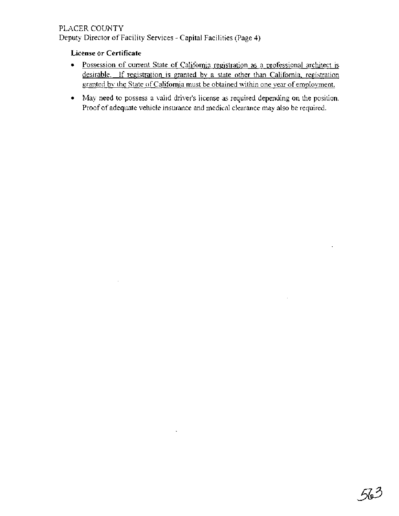Deputy Director of Facility Services - Capital Facilities (Page 4)

## **License or Certificate**

- Possession of current State of Califomia registration as a professional architect is desirable. If registration is granted by a state other than California, registration granted by the State of California must be obtained within one year of employment.
- May need to possess a valid driver's license as required depending on the position. Proof of adequate vehicle insurance and medical clearance may also be required.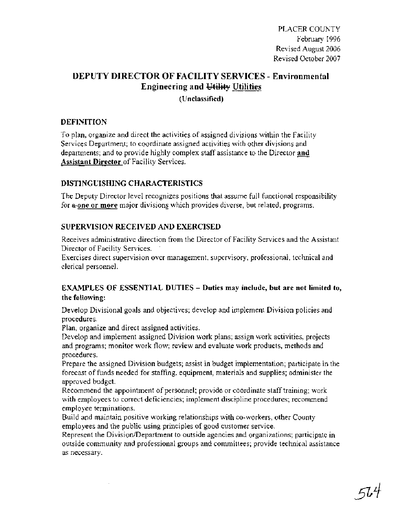# **DEPUTY DIRECTOR OF FACILITY SERVICES** - **Environmental Engineering and Utility Utilities**

**(Unclassified)** 

## **DEFINITION**

To plan, organize and direct the activities of assigned divisions within the Facility Services Department; to coordinate assigned activities with other divisions and departments; and to provide highly complex staff assistance to the Director and **Assistant Director** of Facility Services.

## **DISTINGUISHING CHARACTERISTICS**

The Deputy Director level recognizes positions that assume full functional responsibility for **a-one or more** major divisions which provides diverse, but related, programs.

## **SUPERVISION RECEIVED AND EXERCISED**

Receives administrative direction from the Director of Facility Services and the Assistant Director of Facility Services. '

Exercises direct supervision over management, supervisory, professional, technical and clerical personnel.

## **EXAMPLES OF ESSENTIAL DUTIES** - **Duties may include, but are not limited to, the following:**

Develop Divisional goals and objectives; develop and implement Division policies and procedures.

Plan, organize and direct assigned activities.

Develop and implement assigned Division work plans; assign work activities, projects and programs; monitor work flow; review and evaluate work products, methods and procedures.

Prepare the assigned Division budgets; assist in budget implementation; participate in the forecast of funds needed for staffing, equipment, materials and supplies; administer the approved budget.

Recommend the appointment of personnel; provide or coordinate staff training; work with employees to correct deficiencies; implement discipline procedures; recommend employee terminations.

Build and maintain positive working relationships with co-workers, other County employees and the public using principles of good customer service.

Represent the Division/Department to outside agencies and organizations; participate in outside community and professional groups and committees; provide technical assistance as necessary.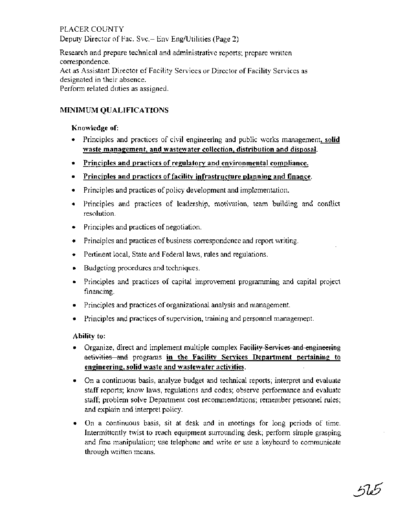Deputy Director of Fac. Svc.- Env Eng/Utilities (Page 2)

Research and prepare technical and administrative reports; prepare written correspondence. Act as Assistant Director of Facility Services or Director of Facility Services as designated in their absence. Perform related duties as assigned.

## **MINIMUM QUALIFICATIONS**

#### **Knowledge of:**

- Principles and practices of civil engineering and public works management, **solid**   $\bullet$ **waste management, and wastewater collection, distribution and disposal.**
- **Principles and practices of regulatory and environmental compliance.**
- **Principles and practices of facilitv infrastructure planning: and finance.**
- Principles and practices of policy development and implementation.
- Principles and practices of leadership, motivation, team building and conflict resolution.
- Principles and practices of negotiation.
- Principles and practices of business correspondence and report writing.
- **Pertinent local, State and Federal laws, rules and regulations.**
- **Budgeting procedures and techniques.**
- Principles and practices of capital improvement programming and capital project financing.
- Principles and practices of organizational analysis and management.
- Principles and practices of supervision, training and personnel management.

- **Ability to:**<br> **.** Organize, direct and implement multiple complex Facility Services and engineering<br> **activities and programs in the Facility Services Department pertaining to enpineering, solid waste and wastewater activities.**
- On a continuous basis, analyze budget and technical reports; interpret and evaluate staff reports; know laws, regulations and codes; observe performance and evaluate staff; problem solve Department cost recommendations; remember personnel rules; and explain and interpret policy.
- On a continuous basis, sit at desk and in meetings for long periods of time.  $\bullet$ Intermittently twist to reach equipment surrounding desk; perform simple grasping and fine manipulation; use telephone and write or use a keyboard to communicate through written means.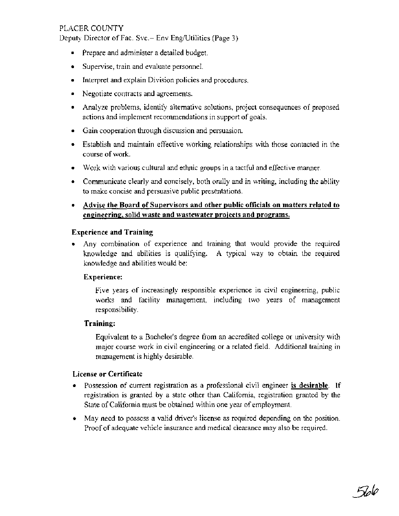Deputy Director of Fac. Svc.- Env Eng/Utilities (Page 3)

- Prepare and administer a detailed budget.
- Supervise, train and evaluate personnel.
- Interpret and explain Division policies and procedures.
- Negotiate contracts and agreements.
- Analyze problems, identify alternative solutions, project consequences of proposed actions and implement recommendations in support of goals.
- Gain cooperation through discussion and persuasion.
- Establish and maintain effective working relationships with those contacted in the course of work.
- Work with various cultural and ethnic groups in a tactful and effective manner.
- Communicate clearly and concisely, both orally and in writing, including the ability to make concise and persuasive public presentations.
- **Advise the Board of Supervisors and other public officials on matters related to**  engineering, solid waste and wastewater projects and programs.

#### **Experience and Training**

Any combination of experience and training that would provide the required knowledge and abilities is qualifying. A typical way to obtain the required knowledge and abilities would be:

#### **Experience:**

Five years of increasingly responsible experience in civil engineering, public works and facility management, including two years of management responsibility.

#### **Training:**

Equivalent to a Bachelor's degree from an accredited college or university with major course work in civil engineering or a related field. Additional training in management is highly desirable.

#### **License or Certificate**

- $\bullet$ Possession of current registration as a professional civil engineer **is desirable.** If registration is granted by a state other than California, registration granted by the State of California must be obtained within one year of employment.
- May need to possess a valid driver's license as required depending on the position. Proof of adequate vehicle insurance and medical clearance may also be required.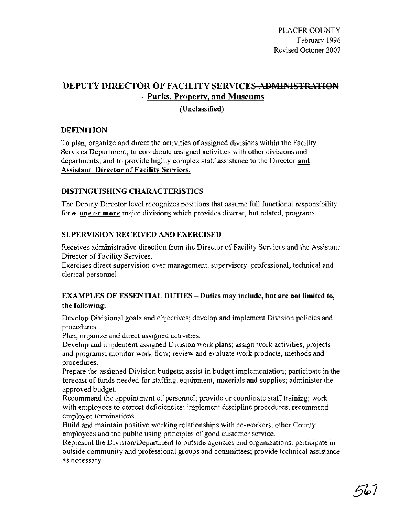# **DEPUTY DIRECTOR OF FACILITY SERVICES-ADMINISTRATION** -- **Parks, Property, and Museums**

## **(Unclassified)**

## **DEFINITION**

To plan, organize and direct the activities of assigned divisions within the Facility Services Department; to coordinate assigned activities with other divisions and departments; and to provide highly complex staff assistance to the Director **and Assistant Director of Facility Services.** 

## **DISTINGUISHING CHARACTERISTICS**

The Deputy Director level recognizes positions that assume full functional responsibility for a **one or more** major divisions which provides diverse, but related, programs.

## **SUPERVISION RECEIVED AND EXERCISED**

Receives administrative direction from the Director of Facility Services and the Assistant Director of Facility Services.

Exercises direct supervision over management, supervisory, professional, technical and clerical personnel.

## **EXAMPLES OF ESSENTIAL DUTIES** - **Duties may include, but are not limited to, the following:**

Develop Divisional goals and objectives; develop and implement Division policies and procedures.

Plan, organize and direct assigned activities.

Develop and implement assigned Division work plans; assign work activities, projects and programs; monitor work flow; review and evaluate work products, methods and procedures.

Prepare the assigned Division budgets; assist in budget implementation; participate in the forecast of funds needed for staffing, equipment, materials and supplies; administer the approved budget.

Recommend the appointment of personnel; provide or coordinate staff training; work with employees to correct deficiencies; implement discipline procedures; recommend employee terminations.

Build and maintain positive working relationships with co-workers, other County employees and the public using principles of good customer service.

Represent the Division/Department to outside agencies and organizations; participate in outside community and professional groups and committees; provide technical assistance as necessary.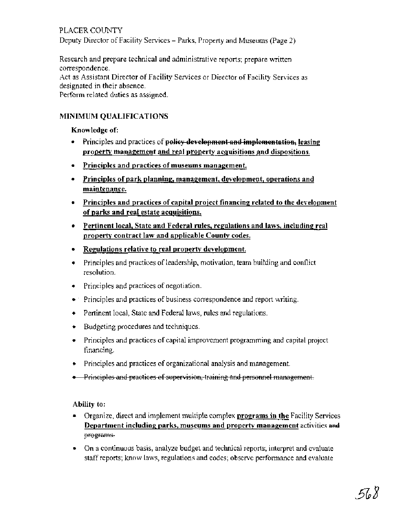PLACER COUNTY Deputy Director of Facility Services - Parks, Property and Museums (Page 2)

Research and prepare technical and administrative reports; prepare written correspondence.

Act as Assistant Director of Facility Services or Director of Facility Services as designated in their absence.

Perform related duties as assigned.

## MINIMUM QUALIFICATIONS

Knowledge of:

- madence.<br>
Assistant Director of Facility Services or Director of Facility Services as<br>
related duties as assigned.<br>
IUM QUALIFICATIONS<br>
principles and practices of policy development and implementation, leasing<br>
property m property management and real property acquisitions and dispositions.
- Principles and practices of museums management.
- Principles of park planning, management, development, operations and maintenance.
- Principles and practices of capital proiect financinp related to the development of parks and real estate acquisitions.
- Pertinent local, State and Federal rules, regulations and laws, including real property contract law and applicable County codes.
- Regulations relative to real property development.
- Principles and practices of leadership, motivation, team building and conflict resolution.
- Principles and practices of negotiation.
- . Principles and practices of business correspondence and report writing.
- Pertinent local, State and Federal laws, rules and regulations.
- **Budgeting procedures and techniques.**
- Principles and practices of capital improvement programming and capital project .financing.
- Principles and practices of organizational analysis and management.
- Principles and practices of supervision, training and personnel management.

Ability to:

- Organize, direct and implement multiple complex programs in the Facility Services Department including parks, museums and property management activities **am3**  programs.
- On a continuous basis, analyze budget and technical reports; interpret and evaluate staff reports; know laws, regulations and codes; observe performance and evaluate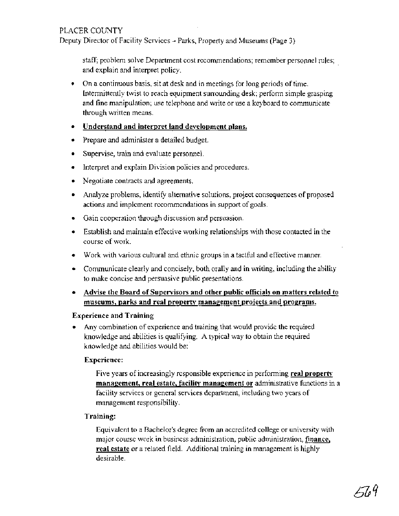Deputy Director of Facility Services - Parks, Property and Museums (Page 3)

staff; problem solve Department cost recommendations; remember personnel rules; and explain and interpret policy.

On a continuous basis, sit at desk and in meetings for long periods of time. Intermittently twist to reach equipment surrounding desk; perform simple grasping and fine manipulation; use telephone and write or use a keyboard to communicate through written means.

#### **Understand and interpret land development plans.**

- Prepare and administer a detailed budget.
- Supervise, train and evaluate personnel.  $\bullet$
- Interpret and explain Division policies and procedures.  $\bullet$
- Negotiate contracts and agreements.
- Analyze problems, identify alternative solutions, project consequences of proposed actions and implement recommendations in support of goals.
- Gain cooperation through discussion and persuasion.  $\bullet$
- Establish and maintain effective working relationships with those contacted in the course of work.
- Work with various cultural and ethnic groups in a tacthl and effective manner.
- Communicate clearly and concisely, both orally and in writing, including the ability to make concise and persuasive public presentations.
- **Advise the Board of Supervisors and other public officials on matters related to**  museums, parks and real property management projects and <u>pr</u>ograms.

#### **Experience and Training**

Any combination of experience and training that would provide the required knowledge and abilities is qualifying. A typical way to obtain the required knowledge and abilities would be:

#### **Experience:**

Five years of increasingly responsible experience in performing **real property management, real estate, facility management or** administrative functions **in** a facility services or general services department, including two years of management responsibility.

#### **Training:**

Equivalent to a Bachelor's degree from an accredited college or university with major course work in business administration, public administration, **finance, real estate** or a related field. Additional training in management is highly desirable.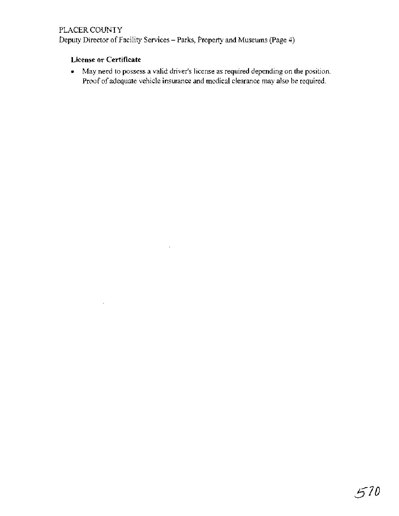Deputy Director of Facility Services - Parks, Property and Museums (Page 4)

 $\bar{z}$ 

## **License or Certificate**

May need to possess a valid driver's license as required depending on the position. Proof of adequate vehicle insurance and medical clearance may also be required.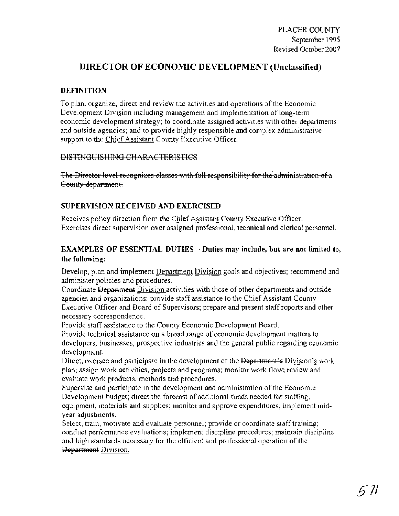## **DIRECTOR OF ECONOMIC DEVELOPMENT (Unclassified)**

#### **DEFINITION**

To plan, organize, direct and review the activities and operations of the Economic Development Division including management and implementation of long-term economic development strategy; to coordinate assigned activities with other departments and outside agencies; and to provide highly responsible and complex administrative support to the Chief Assistant County Executive Officer.

#### DISTINGUISHING CHARACTERISTICS

The Director level recognizes classes with full responsibility for the administration of a County department.

#### **SUPERVISION RECEIVED AND EXERCISED**

Receives policy direction from the Chief Assistant County Executive Officer. Exercises direct supervision over assigned professional, technical and clerical personnel.

### **EXAMPLES OF ESSENTIAL DUTIES** - **Duties may include, but are not limited to, the following:**

Develop, plan and implement Department Division goals and objectives; recommend and administer policies and procedures.

Coordinate **Department** Division activities with those of other departments and outside agencies and organizations; provide staff assistance to the Chief Assistant County Executive Officer and Board of Supervisors; prepare and present staff reports and other necessary correspondence.

Provide staff assistance to the County Economic Development Board.

Provide technical assistance on a broad range of economic development matters to developers, businesses, prospective industries and the general public regarding economic development.

Direct, oversee and participate in the development of the Department's Division's work plan; assign work activities, projects and programs; monitor work flow; review and evaluate work products, methods and procedures.

Supervise and participate in the development and administration of the Economic Development budget; direct the forecast of additional funds needed for staffing, equipment, materials and supplies; monitor and approve expenditures; implement midyear adjustments.

Select, train, motivate and evaluate personnel; provide or coordinate staff training; conduct performance evaluations; implement discipline procedures; maintain discipline and high standards necessary for the efficient and professional operation of the **Department Division.**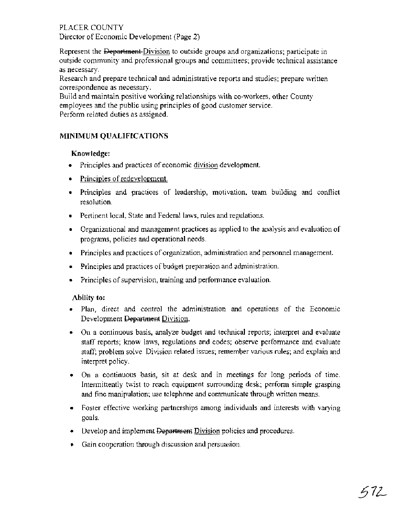## PLACER COUNTY Director of Economic Development (Page 2)

Represent the Department-Division to outside groups and organizations; participate in outside community and professional groups and committees; provide technical assistance as necessary.

Research and prepare technical and administrative reports and studies; prepare written correspondence as necessary.

Build and maintain positive working relationships with co-workers, other County employees and the public using principles of good customer service. Perform related duties as assigned.

## **MINIMUM QUALIFICATIONS**

## **Knowledge:**

- Principles and practices of economic division development.
- Principles of <u>redevelopment</u>.
- Principles and practices of leadership, motivation, team building and conflict resolution.
- Pertinent local, State and Federal laws, rules and regulations.
- Organizational and management practices as applied to the analysis and evaluation of programs, policies and operational needs.
- Principles and practices of organization, administration and personnel management.
- Principles and practices of budget preparation and administration.
- Principles of supervision, training and performance evaluation.

#### **Ability to:**

- Plan, direct and control the administration and operations of the Economic Development Department Division.
- On a continuous basis, analyze budget and technical reports; interpret and evaluate staff reports; know laws, regulations and codes; observe performance and evaluate staff; problem solve Division related issues; remember various rules; and explain and interpret policy.
- On a continuous basis, sit at desk and in meetings for long periods of time. Intermittently twist to reach equipment surrounding desk; perform simple grasping and fine manipulation; use telephone and communicate through written means.
- Foster effective working partnerships among individuals and interests with varying goals.
- $\bullet$  Develop and implement  $\theta$  Department Division policies and procedures.
- Gain cooperation through discussion and persuasion.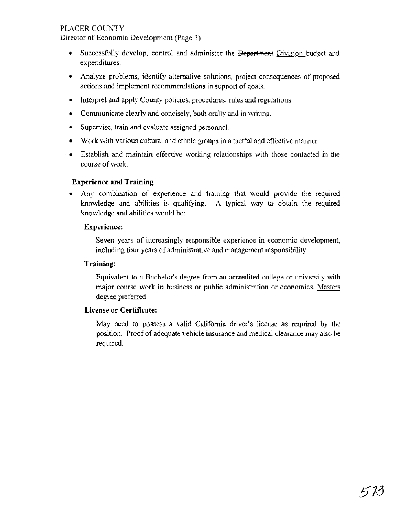Director of Economic Development (Page 3)

- Successfully develop, control and administer the Department Division budget and expenditures.
- Analyze problems, identify alternative solutions, project consequences of proposed actions and implement recommendations in support of goals.
- Interpret and apply County policies, procedures, rules and regulations.
- Communicate clearly and concisely, both orally and in writing.
- Supervise, train and evaluate assigned personnel.
- Work with various cultural and ethnic groups in a tactful and effective manner.
- Establish and maintain effective working relationships with those contacted in the course of work.

#### **Experience and Training**

Any combination of experience and training that would provide the required knowledge and abilities is qualifying. A typical way to obtain the required knowledge and abilities would be:

#### **Experience:**

Seven years of increasingly responsible experience in economic development, including four years of administrative and management responsibility.

#### **Training:**

Equivalent to a Bachelor's degree from an accredited college or university with major course work in business or public administration or economics. Masters degre<u>e</u> preferred.

#### **License or Certificate:**

May need to possess a valid California driver's license as required by the position. Proof of adequate vehicle insurance and medical clearance may also be required.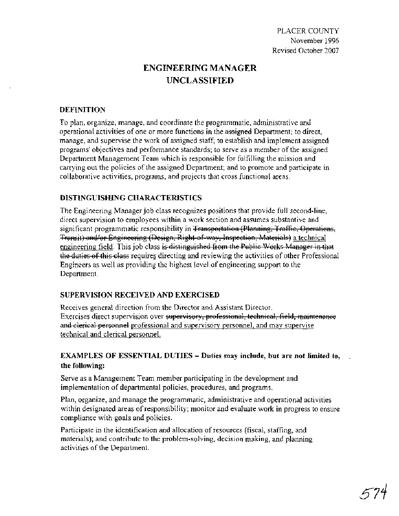# **ENGINEERING MANAGER UNCLASSIFIED**

#### **DEFINITION**

To plan, organize, manage, and coordinate the programmatic, administrative and operational activities of one or more functions in the assigned Department; to direct, manage, and supervise the work of assigned staff; to establish and implement assigned programs' objectives and performance standards; to serve as a member of the assigned Department Management Team which is responsible for fulfilling the mission and carrying out the policies of the assigned Department; and to promote and participate in collaborative activities, programs, and projects that cross functional areas.

#### **DISTINGUISHING CHARACTERISTICS**

The Engineering Manager job class recognizes positions that provide full second-line, direct supervision to employees within a work section and assumes substantive and PLACER COUNTY<br>
Reviewel P.1996<br>
Reviewel Colober 2007<br>
November 1996<br>
Reviewel Grober 2007<br>
DEPINITION<br>
DEPINITION<br>
DEPINITION<br>
DEPINITION<br>
DEPINITION<br>
DEPINITION<br>
DEPINITION<br>
DEPINITION<br>
DEPINITION<br>
DEPINITION and accordi Revised October 2007<br>
Revised October 2007<br>
ENGINEERING MANAGER<br>
UNCLASSIFIED<br>
DEFINITION<br>
To plan, organize, manage, and coordinate the programmatic, administrative and<br>
operational activities of one or more functions in Transit) and/or Engineering (Design, Right-of-way, Inspection, Materials) a technical engineering field. This job class requires directing and reviewing the activities of other Professional PLACER COUNTY<br>
November 1996<br>
Revised October 2007<br>
Newther 1996<br>
Revised October 2007<br>
NEERING MANAGER<br>
UNCLASSIFIED<br>
coordinate the programmatic, administrative and<br>
not saigned starf, to establish and implement assigned Engineers as well as providing the highest level of engineering support to the Department.

#### **SUPERVISION RECEIVED AND EXERCISED**

Receives general direction from the Director and Assistant Director. Exercises direct supervision over supervisory, professional, technical, field, maintenance and elerical personnel professional and supervisory personnel, and may supervise technical and clerical personnel.

## **EXAMPLES OF ESSENTIAL DUTIES** - **Duties may include, but are not limited to, the following:**

Serve as a Management Team member participating in the development and implementation of departmental policies, procedures, and programs.

Plan, organize, and manage the programmatic, administrative and operational activities within designated areas of responsibility; monitor and evaluate work in progress to ensure compliance with goals and policies.

Participate in the identification and allocation of resources (fiscal, staffing, and materials); and contribute to the problem-solving, decision making, and planning activities of the Department.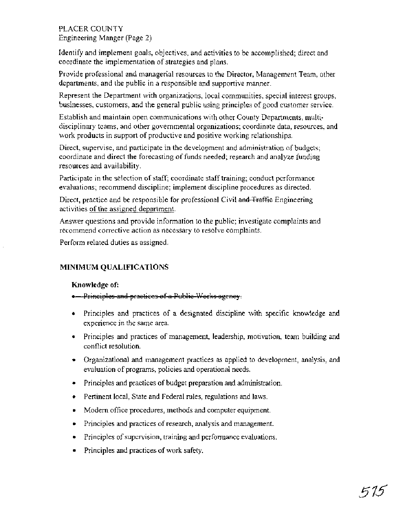## PLACER COUNTY Engineering Manger (Page 2)

Identify and implement goals, objectives, and activities to be accomplished; direct and coordinate the implementation of strategies and p'lans.

Provide professional and managerial resources to the Director, Management Team, other departments, and the public in a responsible and supportive manner.

Represent the Department with organizations, local communities, special interest groups, businesses, customers, and the general public using principles of good customer service.

Establish and maintain open communications with other County Departments, multidisciplinary teams, and other governmental organizations; coordinate data, resources, and work products in support of productive and positive working relationships.

Direct, supervise, and participate in the development and administration of budgets; coordinate and direct the forecasting of funds needed; research and analyze funding resources and availability.

Participate in the selection of staff; coordinate staff training; conduct performance evaluations; recommend discipline; implement discipline procedures as directed.

Direct, practice and be responsible for professional Civil and Traffic Engineering activities of the assigned department.

Answer questions and provide information to the public; investigate complaints and recommend corrective action as necessary to resolve complaints.

Perform related duties as assigned.

## **MINIMUM QUALIFICATIONS**

#### **Knowledge of:**

- . Principles and practices of a Public Works agency.
- Principles and practices of a designated discipline with specific knowledge and experience in the same area.
- Principles and practices of management, leadership, motivation, team building and conflict resolution.
- Organizational and management practices as applied to development, analysis, and evaluation of programs, policies and operational needs.
- Principles and practices of budget preparation and administration.  $\bullet$
- Pertinent local, State and Federal rules, regulations and laws.  $\bullet$
- Modem office procedures, methods and computer equipment.  $\bullet$
- Principles and practices of research, analysis and management.  $\bullet$
- Principles of supervision, training and performance evaluations.  $\bullet$
- Principles and practices of work safety.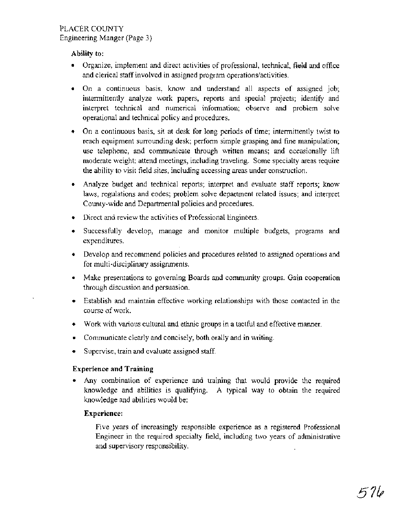#### **Ability to:**

- Organize, implement and direct activities of professional, technical, field and office and clerical staff involved in assigned program operations/activities.
- On a continuous basis, know and understand all aspects of assigned job; intermittently analyze work papers, reports and special projects; identify and interpret technical and numerical information; observe and problem solve operational and technical policy and procedures.
- On a continuous basis, sit at desk for long periods of time; intermittently twist to reach equipment surrounding desk; perform simple grasping and fine manipulation; use telephone, and communicate through written means; and occasionally lift moderate weight; attend meetings, including traveling. Some specialty areas require the ability to visit field sites, including accessing areas under construction.
- Analyze budget and technical reports; interpret and evaluate staff reports; know laws, regulations and codes; problem solve department related issues; and interpret County-wide and Departmental policies and procedures.
- Direct and review the activities of Professional Engineers.
- Successfully develop, manage and monitor multiple budgets, programs and expenditures.
- Develop and recommend policies and procedures related to assigned operations and for multi-disciplinary assignments.
- Make presentations to governing Boards and community groups. Gain cooperation through discussion and persuasion.
- Establish and maintain effective working relationships with those contacted in the course of work.
- Work with various cultural and ethnic groups in a tactful and effective manner.
- Communicate clearly and concisely, both orally and in writing.
- Supervise, train and evaluate assigned staff.

## **Experience and Training**

Any combination of experience and training that would provide the required knowledge and abilities is qualifying. A typical way to obtain the required knowledge and abilities would be:

#### **Experience:**

Five years of increasingly responsible experience as a registered Professional Engineer in the required specialty field, including two years of administrative and supervisory responsibility.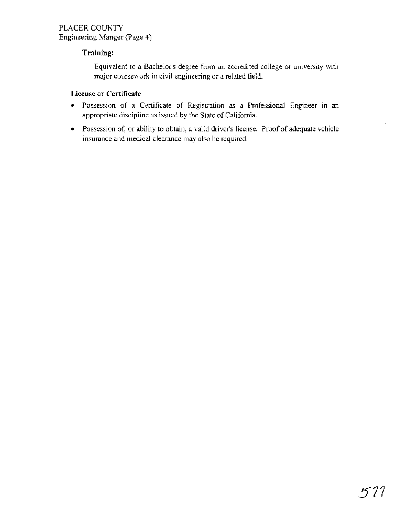## **Training:**

Equivalent to a Bachelor's degree from an accredited college or university with major coursework in civil engineering or a related field.

#### **License or Certificate**

- Possession of a Certificate of Registration as a Professional Engineer in an appropriate discipline as issued by the State of California.
- Possession of, or ability to obtain, a valid driver's license. Proof of adequate vehicle insurance and medical clearance may also be required.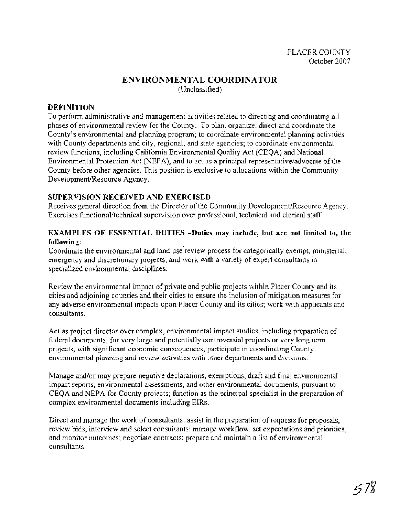#### **ENVIRONMENTAL COORDINATOR**  (Unclassified)

#### **DEFINITION**

To perform administrative and management activities related to directing and coordinating all phases of environmental review for the County. To plan, organize, direct and coordinate the County's environmental and planning program; to coordinate environmental planning activities with County departments and city, regional, and state agencies; to coordinate environmental review functions, including California Environmental Quality Act (CEQA) and National Environmental Protection Act (NEPA), and to act as a principal representativeladvocate of the County before other agencies. This position is exclusive to allocations within the Community Development/Resource Agency.

#### **SUPERVISION RECEIVED AND EXERCISED**

Receives general direction from the Director of the Community Development/Resource Agency. Exercises functional/technical supervision over professional, technical and clerical staff.

#### **EXAMPLES OF ESSENTIAL DUTIES -Duties may include, but are not limited to, the following:**

Coordinate the environmental and land use review process for categorically exempt, ministerial, emergency and discretionary projects, and work with a variety of expert consultants in specialized environmental disciplines.

Review the environmental impact of private and public projects within Placer County and its cities and adjoining counties and their cities to ensure the inclusion of mitigation measures for any adverse environmental impacts upon Placer County and its cities; work with applicants and consultants.

Act as project director over complex, environmental impact studies, including preparation of federal documents, for very large and potentially controversial projects or very long term projects, with significant economic consequences; participate in coordinating County environmental planning and review activities with other departments and divisions.

Manage and/or may prepare negative declarations, exemptions, draft and final environmental impact reports, environmental assessments, and other environmental documents, pursuant to CEQA and NEPA for County projects; function as the principal specialist in the preparation of complex environmental documents including EIRs.

Direct and manage the work of consultants; assist in the preparation of requests for proposals, review bids, interview and select consultants; manage workflow, set expectations and priorities, and monitor outcomes; negotiate contracts; prepare and maintain a list of environmental consultants.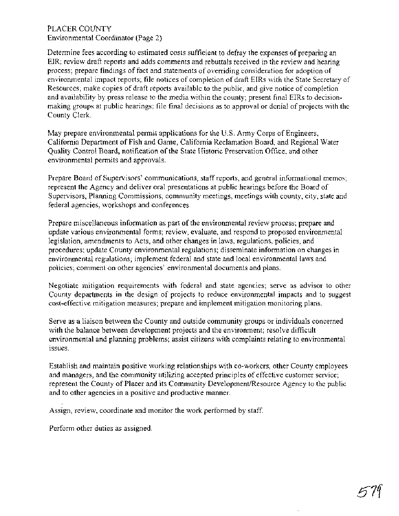PLACER COUNTY Environmental Coordinator (Page 2)

Determine fees according to estimated costs sufficient to defray the expenses of preparing an EIR; review draft reports and adds comments and rebuttals received in the review and hearing process; prepare findings of fact and statements of overriding consideration for adoption of environmental impact reports; file notices of completion of draft EIRs with the State Secretary of Resources; make copies of draft reports available to the public, and give notice of completion and availability by press release to the media within the county; present final EIRs to decisionmaking groups at public hearings; file final decisions as to approval or denial of projects with the County Clerk.

May prepare environmental permit applications for the U.S. Army Corps of Engineers, California Department of Fish and Game, California Reclamation Board, and Regional Water Quality Control Board, notification of the State Historic Preservation Office, and other environmental permits and approvals.

Prepare Board of Supervisors' communications, staff reports, and general informational memos; represent the Agency and deliver oral presentations at public hearings before the Board of Supervisors, Planning Commissions, community meetings, meetings with county, city, state and federal agencies, workshops and conferences.

Prepare miscellaneous information as part of the environmental review process; prepare and update various environmental forms; review, evaluate, and respond to proposed environmental legislation, amendments to Acts, and other changes in laws, regulations, policies, and procedures; update County environmental regulations; disseminate information on changes in environmental regulations; implement federal and state and local environmental laws and policies; comment on other agencies' environmental documents and plans.

Negotiate mitigation requirements with federal and state agencies; serve as advisor to other County departments in the design of projects to reduce environmental impacts and to suggest cost-effective mitigation measures; prepare and implement mitigation monitoring plans.

Serve as a liaison between the County and outside community groups or individuals concerned with the balance between development projects and the environment; resolve difficult environmental and planning problems; assist citizens with complaints relating to environmental issues.

Establish and maintain positive working relationships with co-workers, other County employees and managers, and the community utilizing accepted principles of effective customer service; represent the County of Placer and its Community Development/Resource Agency to the public and to other agencies in a positive and productive manner.

Assign, review, coordinate and monitor the work performed by staff.

Perform other duties as assigned.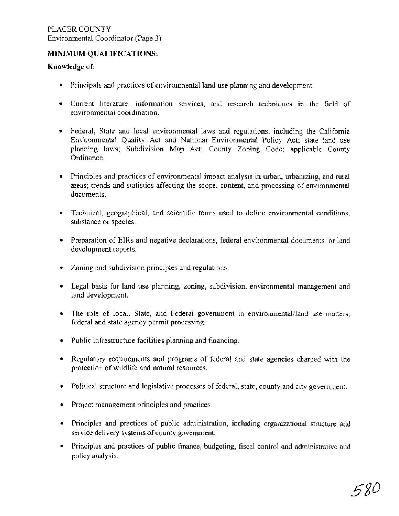#### **MINIMUM QUALIFICATIONS:**

#### **Knowledge of:**

- Principals and practices of environmental land use planning and development.
- Current literature, information services, and research techniques in the field of environmental coordination.
- Federal, State and local environmental laws and regulations, including the California Environmental Quality Act and National Environmental Policy Act; state land use planning laws; Subdivision Map Act; County Zoning Code; applicable County Ordinance.
- Principles and practices of environmental impact analysis in urban, urbanizing, and rural areas; trends and statistics affecting the scope, content, and processing of environmental documents.
- Technical, geographical, and scientific terms used to define environmental conditions, substance or species.
- Preparation of EIRs and negative declarations, federal environmental documents, or land development reports.
- Zoning and subdivision principles and regulations.
- Legal basis for land use planning, zoning, subdivision, environmental management and land development.
- The role of local, State, and Federal government in environmental/land use matters; federal and state agency permit processing.
- Public infrastructure facilities planning and financing.
- Regulatory requirements and programs of federal and state agencies charged with the protection of wildlife and natural resources.
- Political structure and legislative processes of federal, state, county and city government.
- Project management principles and practices.
- Principles and practices of public administration, including organizational structure and service delivery systems of county government.
- Principles and practices of public finance, budgeting, fiscal control and administrative and policy analysis.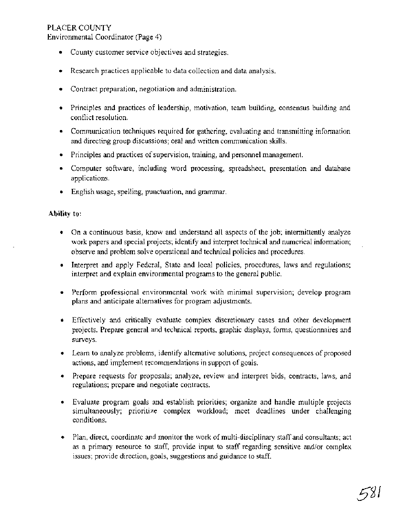Environmental Coordinator (Page 4)

- County customer service objectives and strategies.
- **a** Research practices applicable to data collection and data analysis.
- Contract preparation, negotiation and administration.
- Principles and practices of leadership, motivation, team building, consensus building and conflict resolution.
- Communication techniques required for gathering, evaluating and transmitting information and directing group discussions; oral and written communication skills.
- Principles and practices of supervision, training, and personnel management.
- Computer software, including word processing, spreadsheet, presentation and database applications.
- English usage, spelling, punctuation, and grammar.

#### **Ability to:**

- On a continuous basis, know and understand all aspects of the job; intermittently analyze work papers and special projects; identify and interpret technical and numerical information; observe and problem solve operational and technical policies and procedures.
- Interpret and apply Federal, State and local policies, procedures, laws and regulations; interpret and explain environmental programs to the general public.
- Perform professional environmental work with minimal supervision; develop program plans and anticipate alternatives for program adjustments.
- Effectively and critically evaluate complex discretionary cases and other development projects. Prepare general and technical reports, graphic displays, forms, questionnaires and surveys.
- Learn to analyze problems, identify alternative solutions, project consequences of proposed actions, and implement recommendations in support of goals.
- Prepare requests for proposals; analyze, review and interpret bids, contracts, laws, and regulations; prepare and negotiate contracts.
- Evaluate program goals and establish priorities; organize and handle multiple projects simultaneously; prioritize complex workload; meet deadlines under challenging conditions.
- **a** Plan, direct, coordinate and monitor the work of multi-disciplinary staff and consultants; act as a primary resource to staff, provide input to staff regarding sensitive and/or complex issues; provide direction, goals, suggestions and guidance to staff.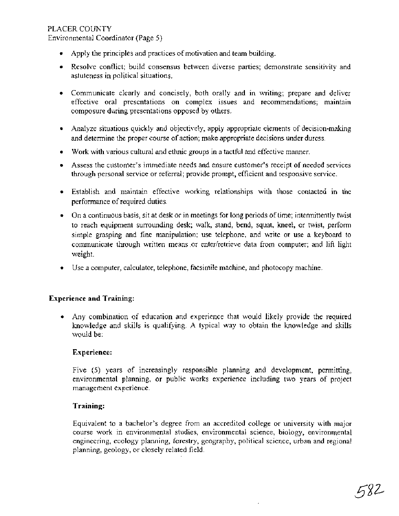Environmental Coordinator (Page 5)

- Apply the principles and practices of motivation and team building.
- Resolve conflict; build consensus between diverse parties; demonstrate sensitivity and astuteness in political situations.
- Communicate clearly and concisely, both orally and in writing; prepare and deliver effective oral presentations on complex issues and recommendations; maintain composure during presentations opposed by others.
- Analyze situations quickly and objectively, apply appropriate elements of decision-making and determine the proper course of action; make appropriate decisions under duress.
- Work with various cultural and ethnic groups in a tactful and effective manner.
- Assess the customer's immediate needs and ensure customer's receipt of needed services through personal service or referral; provide prompt, efficient and responsive service.
- Establish and maintain effective working relationships with those contacted in the performance of required duties.
- On a continuous basis, sit at desk or in meetings for long periods of time; intermittently twist to reach equipment surrounding desk; walk, stand, bend, squat, kneel, or twist, perfom simple grasping and fine manipulation; use telephone, and write or use a keyboard to communicate through written means or enter/retrieve data from computer; and lift light weight.
- Use a computer, calculator, telephone, facsimile machine, and photocopy machine.

#### **Experience and Training:**

Any combination of education and experience that would likely provide the required knowledge and skills is qualifying. A typical way to obtain the knowledge and skills would be:

#### **Experience:**

Five (5) years of increasingly responsible planning and development, permitting, environmental planning, or public works experience including two years of project management experience.

#### **Training:**

Equivalent to a bachelor's degree from an accredited college or university with major course work in environmental studies, environmental science, biology, environmental engineering, ecology planning, forestry, geography, political science, urban and regional planning, geology, or closely related field.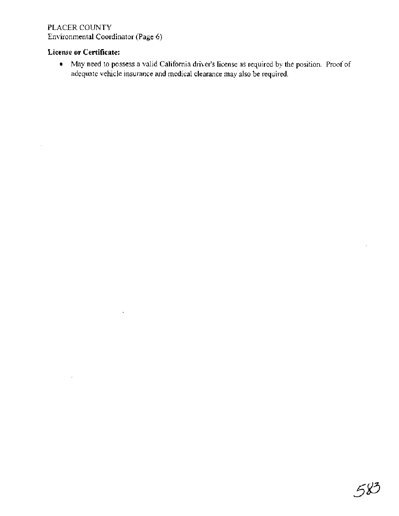## PLACER COUNTY Environmental Coordinator (Page 6)

 $\overline{\phantom{a}}$ 

## **License or Certificate:**

May need to possess a valid California driver's license as required by the position. Proof of adequate vehicle insurance and medical clearance may also be required.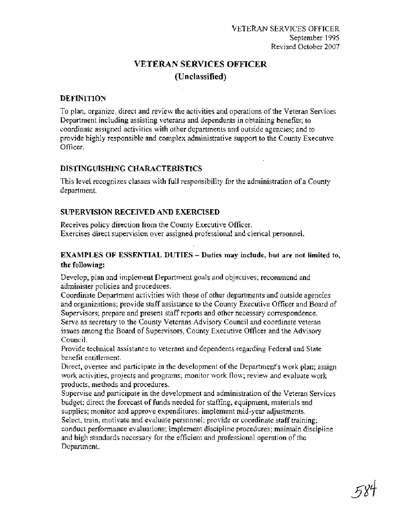# **VETERAN SERVICES OFFICER (Unclassified)**

#### **DEFINITION**

To plan, organize, direct and review the activities and operations of the Veteran Services Department including assisting veterans and dependents in obtaining benefits; to coordinate assigned activities with other departments and outside agencies; and to provide highly responsible and complex administrative support to the County Executive Officer.

## **DISTINGUISHING CHARACTERISTICS**

This level recognizes classes with full responsibility for the administration of a County department.

## **SUPERVISION RECEIVED AND EXERCISED**

Receives policy direction from the County Executive Officer. Exercises direct supervision over assigned professional and clerical personnel.

## **EXAMPLES OF ESSENTIAL DUTIES** - **Duties may include, but are not limited to, the following:**

Develop, plan and implement Department goals and objectives; recommend and administer policies and procedures.

Coordinate Department activities with those of other departments and outside agencies and organizations; provide staff assistance to the County Executive Officer and Board of Supervisors; prepare and present staff reports and other necessary correspondence. Serve as secretary to the County Veterans Advisory Council and coordinate veteran issues among the Board of Supervisors, County Executive Officer and the Advisory Council.

Provide technical assistance to veterans and dependents regarding Federal and State benefit entitlement.

Direct, oversee and participate in the development of the Department's work plan; assign work activities, projects and programs; monitor work flow; review and evaluate work products, methods and procedures.

Supervise and participate in the development and administration of the Veteran Services budget; direct the forecast of funds needed for staffing, equipment, materials and supplies; monitor and approve expenditures; implement mid-year adjustments.

Select, train, motivate and evaluate personnel; provide or coordinate staff training; conduct performance evaluations; implement discipline procedures; maintain discipline and high standards necessary for the efficient and professional operation of the Department.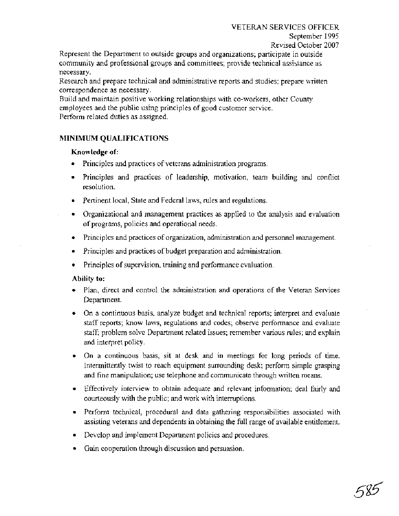#### VETERAN SERVICES OFFICER

September 1995

Revised October 2007

Represent the Department to outside groups and organizations; participate in outside community and professional groups and committees; provide technical assistance as necessary.

Research and prepare technical and administrative reports and studies; prepare written correspondence as necessary.

Build and maintain positive working relationships with co-workers, other County employees and the public using principles of good customer service. Perform related duties as assigned.

## **MINIMUM QUALIFICATIONS**

#### **Knowledge of:**

- Principles and practices of veterans administration programs.
- Principles and practices of leadership, motivation, team building and conflict resolution.
- Pertinent local, State and Federal laws, rules and regulations.
- Organizational and management practices as applied to the analysis and evaluation of programs, policies and operational needs.
- Principles and practices of organization, administration and personnel management.
- $\bullet$ Principles and practices of budget preparation and administration.
- Principles of supervision, training and performance evaluation.

#### **Ability to:**

- Plan, direct and control the administration and operations of the Veteran Services Department.
- On a continuous basis, analyze budget and technical reports; interpret and evaluate staff reports; know laws, regulations and codes; observe performance and evaluate staff; problem solve Department related issues; remember various rules; and explain and interpret policy.
- On a continuous basis, sit at desk and in meetings for long periods of time. Intermittently twist to reach equipment surrounding desk; perform simple grasping and fine manipulation; use telephone and communicate through written means.
- $\bullet$  . Effectively interview to obtain adequate and relevant information; deal fairly and courteously with the public; and work with interruptions.
- Perform technical, procedural and data gathering responsibilities associated with assisting veterans and dependents in obtaining the full range of available entitlement.
- Develop and implement Department policies and procedures.
- Gain cooperation through discussion and persuasion.  $\bullet$